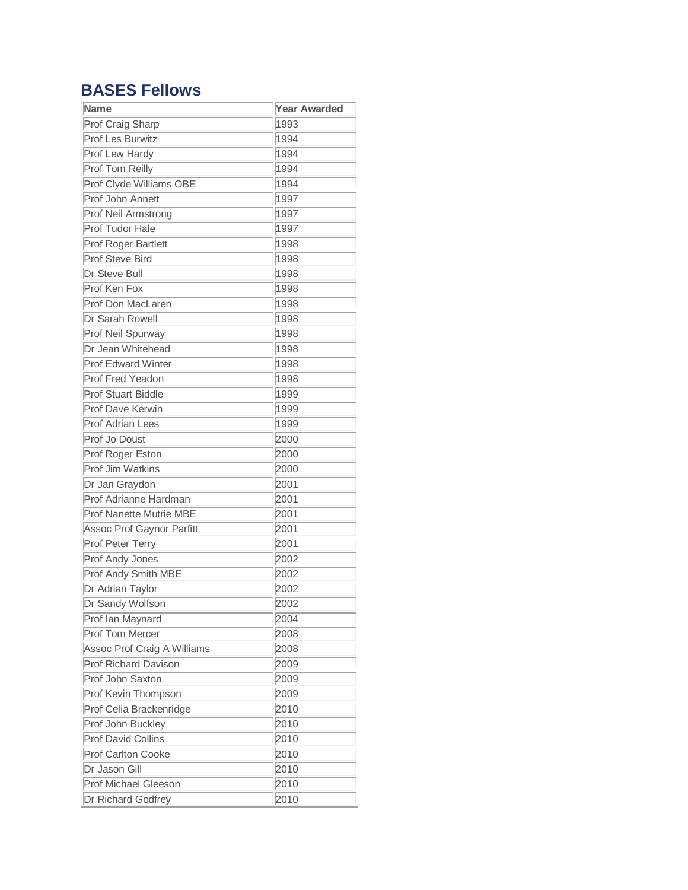## **BASES Fellows**

| Name                           | <b>Year Awarded</b> |
|--------------------------------|---------------------|
| Prof Craig Sharp               | 1993                |
| Prof Les Burwitz               | 1994                |
| Prof Lew Hardy                 | 1994                |
| Prof Tom Reilly                | 1994                |
| Prof Clyde Williams OBE        | 1994                |
| Prof John Annett               | 1997                |
| Prof Neil Armstrong            | 1997                |
| Prof Tudor Hale                | 1997                |
| Prof Roger Bartlett            | 1998                |
| <b>Prof Steve Bird</b>         | 1998                |
| Dr Steve Bull                  | 1998                |
| Prof Ken Fox                   | 1998                |
| Prof Don MacLaren              | 1998                |
| Dr Sarah Rowell                | 1998                |
| Prof Neil Spurway              | 1998                |
| Dr Jean Whitehead              | 1998                |
| <b>Prof Edward Winter</b>      | 1998                |
| Prof Fred Yeadon               | 1998                |
| <b>Prof Stuart Biddle</b>      | 1999                |
| <b>Prof Dave Kerwin</b>        | 1999                |
| <b>Prof Adrian Lees</b>        | 1999                |
| Prof Jo Doust                  | 2000                |
| Prof Roger Eston               | 2000                |
| Prof Jim Watkins               | 2000                |
| Dr Jan Graydon                 | 2001                |
| Prof Adrianne Hardman          | 2001                |
| <b>Prof Nanette Mutrie MBE</b> | 2001                |
| Assoc Prof Gaynor Parfitt      | 2001                |
| Prof Peter Terry               | 2001                |
| Prof Andy Jones                | 2002                |
| Prof Andy Smith MBE            | 2002                |
| Dr Adrian Taylor               | 2002                |
| Dr Sandy Wolfson               | 2002                |
| Prof Ian Maynard               | 2004                |
| Prof Tom Mercer                | 2008                |
| Assoc Prof Craig A Williams    | 2008                |
| <b>Prof Richard Davison</b>    | 2009                |
| Prof John Saxton               | 2009                |
| Prof Kevin Thompson            | 2009                |
| Prof Celia Brackenridge        | 2010                |
| Prof John Buckley              | 2010                |
| <b>Prof David Collins</b>      | 2010                |
| Prof Carlton Cooke             | 2010                |
| Dr Jason Gill                  | 2010                |
| <b>Prof Michael Gleeson</b>    | 2010                |
| Dr Richard Godfrey             | 2010                |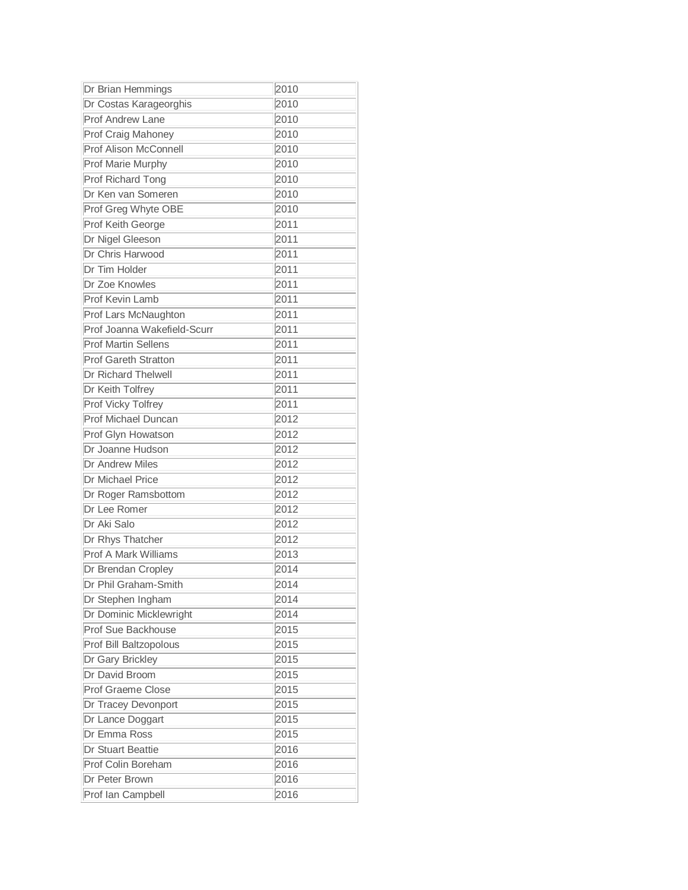| Dr Brian Hemmings           | 2010 |
|-----------------------------|------|
| Dr Costas Karageorghis      | 2010 |
| Prof Andrew Lane            | 2010 |
| Prof Craig Mahoney          | 2010 |
| Prof Alison McConnell       | 2010 |
| Prof Marie Murphy           | 2010 |
| Prof Richard Tong           | 2010 |
| Dr Ken van Someren          | 2010 |
| Prof Greg Whyte OBE         | 2010 |
| Prof Keith George           | 2011 |
| Dr Nigel Gleeson            | 2011 |
| Dr Chris Harwood            | 2011 |
| Dr Tim Holder               | 2011 |
| Dr Zoe Knowles              | 2011 |
| Prof Kevin Lamb             | 2011 |
| Prof Lars McNaughton        | 2011 |
| Prof Joanna Wakefield-Scurr | 2011 |
| <b>Prof Martin Sellens</b>  | 2011 |
| <b>Prof Gareth Stratton</b> | 2011 |
| Dr Richard Thelwell         | 2011 |
| Dr Keith Tolfrey            | 2011 |
| Prof Vicky Tolfrey          | 2011 |
| Prof Michael Duncan         | 2012 |
| Prof Glyn Howatson          | 2012 |
| Dr Joanne Hudson            | 2012 |
| Dr Andrew Miles             | 2012 |
| <b>Dr Michael Price</b>     | 2012 |
| Dr Roger Ramsbottom         | 2012 |
| Dr Lee Romer                | 2012 |
| Dr Aki Salo                 | 2012 |
| Dr Rhys Thatcher            | 2012 |
| Prof A Mark Williams        | 2013 |
| Dr Brendan Cropley          | 2014 |
| Dr Phil Graham-Smith        | 2014 |
| Dr Stephen Ingham           | 2014 |
| Dr Dominic Micklewright     | 2014 |
| Prof Sue Backhouse          | 2015 |
| Prof Bill Baltzopolous      | 2015 |
| Dr Gary Brickley            | 2015 |
| Dr David Broom              | 2015 |
| <b>Prof Graeme Close</b>    | 2015 |
| Dr Tracey Devonport         | 2015 |
| Dr Lance Doggart            | 2015 |
| Dr Emma Ross                | 2015 |
| Dr Stuart Beattie           | 2016 |
| Prof Colin Boreham          | 2016 |
| Dr Peter Brown              | 2016 |
| Prof lan Campbell           | 2016 |